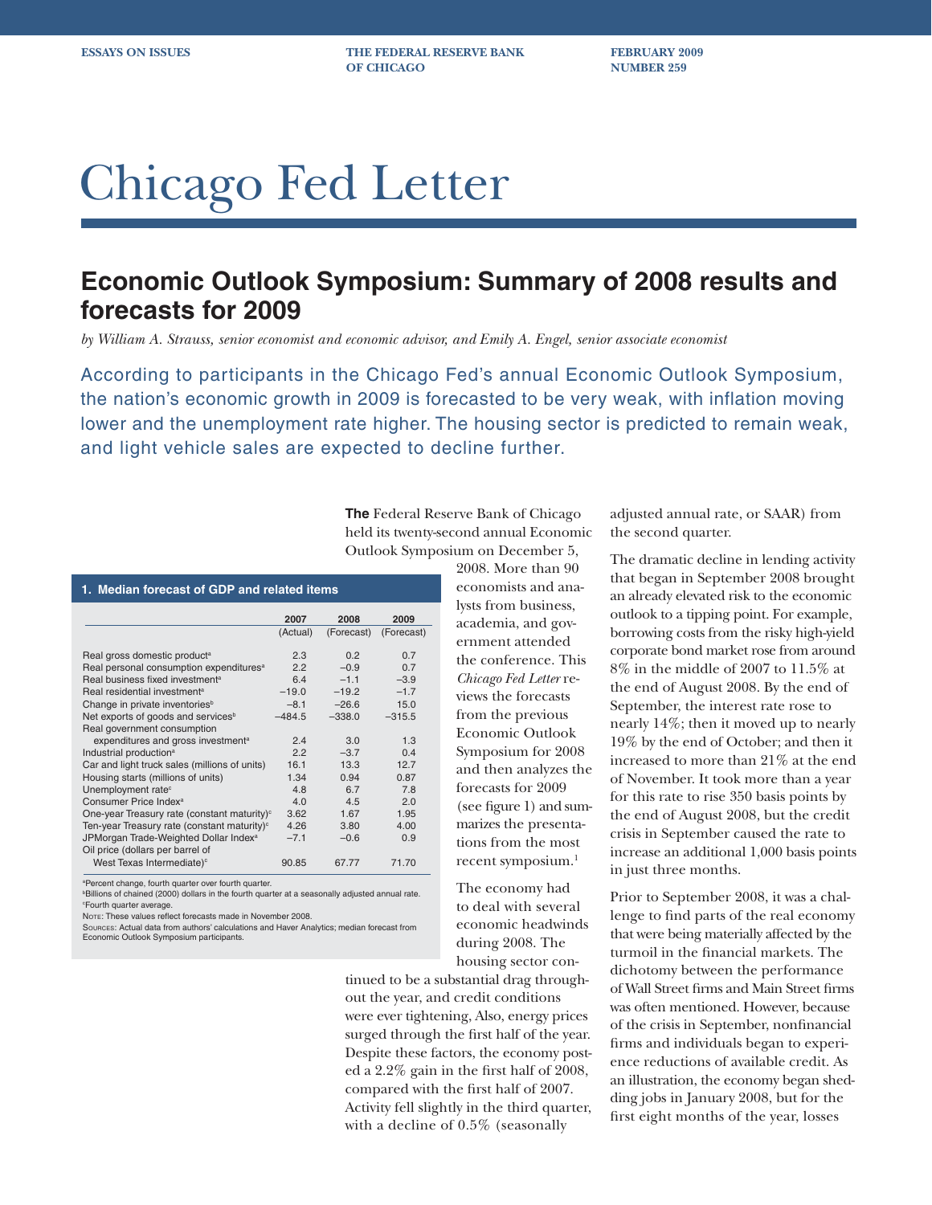**ESSAYS ON ISSUES THE FEDERAL RESERVE BANK FEBRUARY 2009 OF CHICAGO NUMBER 259** 

# Chicago Fed Letter

## **Economic Outlook Symposium: Summary of 2008 results and forecasts for 2009**

*by William A. Strauss, senior economist and economic advisor, and Emily A. Engel, senior associate economist*

According to participants in the Chicago Fed's annual Economic Outlook Symposium, the nation's economic growth in 2009 is forecasted to be very weak, with inflation moving lower and the unemployment rate higher. The housing sector is predicted to remain weak, and light vehicle sales are expected to decline further.

> **The** Federal Reserve Bank of Chicago held its twenty-second annual Economic Outlook Symposium on December 5,

**1. Median forecast of GDP and related items**

|                                                         | 2007     | 2008       | 2009       |
|---------------------------------------------------------|----------|------------|------------|
|                                                         | (Actual) | (Forecast) | (Forecast) |
|                                                         |          |            |            |
| Real gross domestic product <sup>a</sup>                | 2.3      | 0.2        | 0.7        |
| Real personal consumption expenditures <sup>a</sup>     | 2.2      | $-0.9$     | 0.7        |
| Real business fixed investment <sup>a</sup>             | 6.4      | $-1.1$     | $-3.9$     |
| Real residential investment <sup>a</sup>                | $-19.0$  | $-19.2$    | $-1.7$     |
| Change in private inventories <sup>b</sup>              | $-8.1$   | $-26.6$    | 15.0       |
| Net exports of goods and services <sup>b</sup>          | $-484.5$ | $-338.0$   | $-315.5$   |
| Real government consumption                             |          |            |            |
| expenditures and gross investment <sup>a</sup>          | 2.4      | 3.0        | 1.3        |
| Industrial production <sup>a</sup>                      | 2.2      | $-3.7$     | 0.4        |
| Car and light truck sales (millions of units)           | 16.1     | 13.3       | 12.7       |
| Housing starts (millions of units)                      | 1.34     | 0.94       | 0.87       |
| Unemployment rate <sup>c</sup>                          | 4.8      | 6.7        | 7.8        |
| Consumer Price Index <sup>a</sup>                       | 4.0      | 4.5        | 2.0        |
| One-year Treasury rate (constant maturity) <sup>c</sup> | 3.62     | 1.67       | 1.95       |
| Ten-year Treasury rate (constant maturity) <sup>c</sup> | 4.26     | 3.80       | 4.00       |
| JPMorgan Trade-Weighted Dollar Index <sup>a</sup>       | $-7.1$   | $-0.6$     | 0.9        |
| Oil price (dollars per barrel of                        |          |            |            |
| West Texas Intermediate) <sup>c</sup>                   | 90.85    | 67.77      | 71.70      |

a Percent change, fourth quarter over fourth quarter.

b Billions of chained (2000) dollars in the fourth quarter at a seasonally adjusted annual rate. c Fourth quarter average.

NOTE: These values reflect forecasts made in November 2008.

SOURCES: Actual data from authors' calculations and Haver Analytics; median forecast from Economic Outlook Symposium participants.

2008. More than 90 economists and analysts from business, academia, and government attended the conference. This *Chicago Fed Letter* reviews the forecasts from the previous Economic Outlook Symposium for 2008 and then analyzes the forecasts for 2009 (see figure 1) and summarizes the presentations from the most recent symposium.<sup>1</sup>

The economy had to deal with several economic headwinds during 2008. The housing sector con-

tinued to be a substantial drag throughout the year, and credit conditions were ever tightening, Also, energy prices surged through the first half of the year. Despite these factors, the economy posted a  $2.2\%$  gain in the first half of 2008, compared with the first half of 2007. Activity fell slightly in the third quarter, with a decline of 0.5% (seasonally

adjusted annual rate, or SAAR) from the second quarter.

The dramatic decline in lending activity that began in September 2008 brought an already elevated risk to the economic outlook to a tipping point. For example, borrowing costs from the risky high-yield corporate bond market rose from around 8% in the middle of 2007 to 11.5% at the end of August 2008. By the end of September, the interest rate rose to nearly 14%; then it moved up to nearly 19% by the end of October; and then it increased to more than 21% at the end of November. It took more than a year for this rate to rise 350 basis points by the end of August 2008, but the credit crisis in September caused the rate to increase an additional 1,000 basis points in just three months.

Prior to September 2008, it was a challenge to find parts of the real economy that were being materially affected by the turmoil in the financial markets. The dichotomy between the performance of Wall Street firms and Main Street firms was often mentioned. However, because of the crisis in September, nonfinancial firms and individuals began to experience reductions of available credit. As an illustration, the economy began shedding jobs in January 2008, but for the first eight months of the year, losses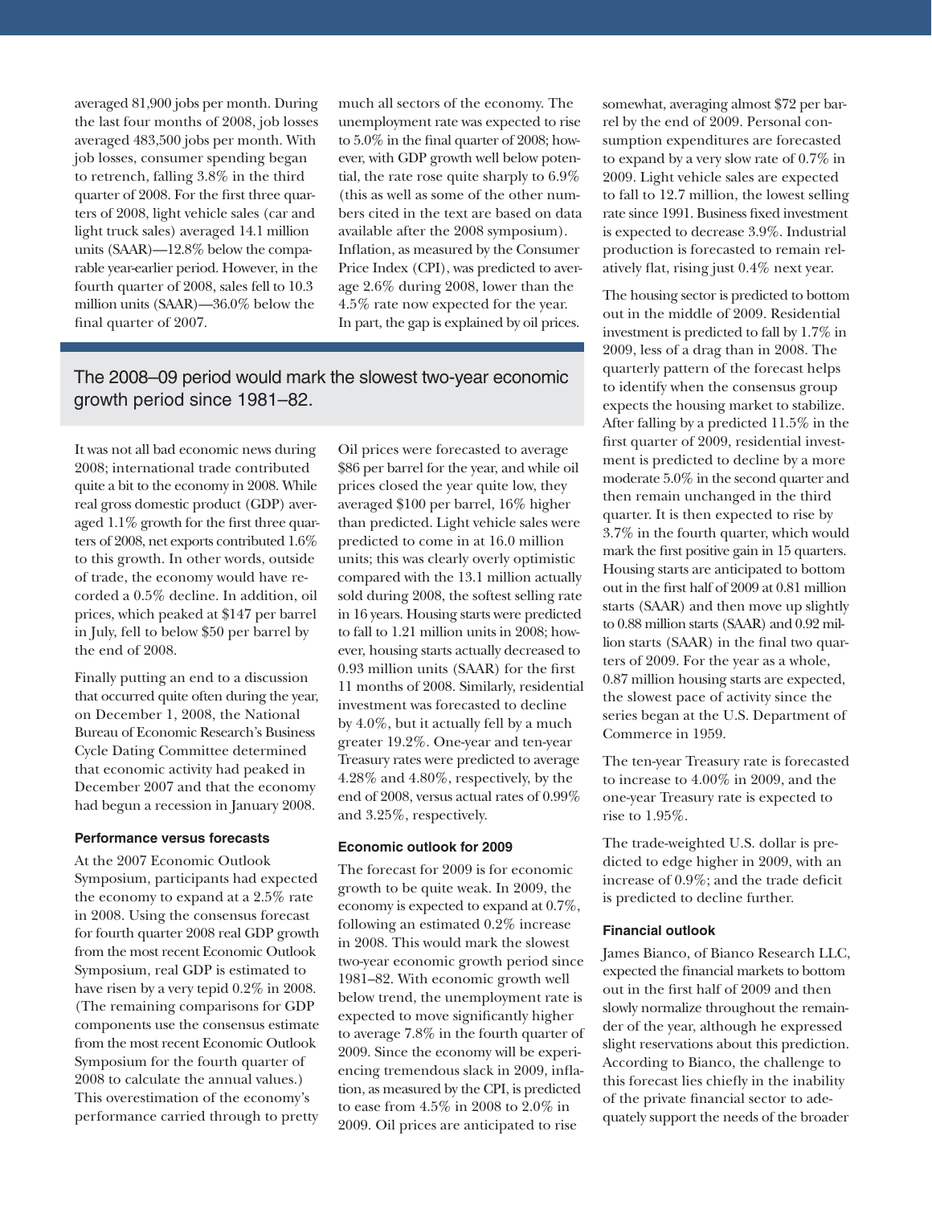averaged 81,900 jobs per month. During the last four months of 2008, job losses averaged 483,500 jobs per month. With job losses, consumer spending began to retrench, falling 3.8% in the third quarter of 2008. For the first three quarters of 2008, light vehicle sales (car and light truck sales) averaged 14.1 million units (SAAR)—12.8% below the comparable year-earlier period. However, in the fourth quarter of 2008, sales fell to 10.3 million units (SAAR)—36.0% below the final quarter of 2007.

much all sectors of the economy. The unemployment rate was expected to rise to  $5.0\%$  in the final quarter of  $2008$ ; however, with GDP growth well below potential, the rate rose quite sharply to 6.9% (this as well as some of the other numbers cited in the text are based on data available after the 2008 symposium). Inflation, as measured by the Consumer Price Index (CPI), was predicted to average 2.6% during 2008, lower than the 4.5% rate now expected for the year. In part, the gap is explained by oil prices.

### The 2008–09 period would mark the slowest two-year economic growth period since 1981–82.

It was not all bad economic news during 2008; international trade contributed quite a bit to the economy in 2008. While real gross domestic product (GDP) averaged  $1.1\%$  growth for the first three quarters of 2008, net exports contributed 1.6% to this growth. In other words, outside of trade, the economy would have recorded a 0.5% decline. In addition, oil prices, which peaked at \$147 per barrel in July, fell to below \$50 per barrel by the end of 2008.

Finally putting an end to a discussion that occurred quite often during the year, on December 1, 2008, the National Bureau of Economic Research's Business Cycle Dating Committee determined that economic activity had peaked in December 2007 and that the economy had begun a recession in January 2008.

#### **Performance versus forecasts**

At the 2007 Economic Outlook Symposium, participants had expected the economy to expand at a 2.5% rate in 2008. Using the consensus forecast for fourth quarter 2008 real GDP growth from the most recent Economic Outlook Symposium, real GDP is estimated to have risen by a very tepid 0.2% in 2008. (The remaining comparisons for GDP components use the consensus estimate from the most recent Economic Outlook Symposium for the fourth quarter of 2008 to calculate the annual values.) This overestimation of the economy's performance carried through to pretty

Oil prices were forecasted to average \$86 per barrel for the year, and while oil prices closed the year quite low, they averaged \$100 per barrel, 16% higher than predicted. Light vehicle sales were predicted to come in at 16.0 million units; this was clearly overly optimistic compared with the 13.1 million actually sold during 2008, the softest selling rate in 16 years. Housing starts were predicted to fall to 1.21 million units in 2008; however, housing starts actually decreased to 0.93 million units (SAAR) for the first 11 months of 2008. Similarly, residential investment was forecasted to decline by 4.0%, but it actually fell by a much greater 19.2%. One-year and ten-year Treasury rates were predicted to average 4.28% and 4.80%, respectively, by the end of 2008, versus actual rates of 0.99% and 3.25%, respectively.

#### **Economic outlook for 2009**

The forecast for 2009 is for economic growth to be quite weak. In 2009, the economy is expected to expand at 0.7%, following an estimated 0.2% increase in 2008. This would mark the slowest two-year economic growth period since 1981–82. With economic growth well below trend, the unemployment rate is expected to move significantly higher to average 7.8% in the fourth quarter of 2009. Since the economy will be experiencing tremendous slack in 2009, inflation, as measured by the CPI, is predicted to ease from 4.5% in 2008 to 2.0% in 2009. Oil prices are anticipated to rise

somewhat, averaging almost \$72 per barrel by the end of 2009. Personal consumption expenditures are forecasted to expand by a very slow rate of 0.7% in 2009. Light vehicle sales are expected to fall to 12.7 million, the lowest selling rate since 1991. Business fixed investment is expected to decrease 3.9%. Industrial production is forecasted to remain relatively flat, rising just 0.4% next year.

The housing sector is predicted to bottom out in the middle of 2009. Residential investment is predicted to fall by 1.7% in 2009, less of a drag than in 2008. The quarterly pattern of the forecast helps to identify when the consensus group expects the housing market to stabilize. After falling by a predicted 11.5% in the first quarter of 2009, residential investment is predicted to decline by a more moderate 5.0% in the second quarter and then remain unchanged in the third quarter. It is then expected to rise by 3.7% in the fourth quarter, which would mark the first positive gain in 15 quarters. Housing starts are anticipated to bottom out in the first half of 2009 at 0.81 million starts (SAAR) and then move up slightly to 0.88 million starts (SAAR) and 0.92 million starts (SAAR) in the final two quarters of 2009. For the year as a whole, 0.87 million housing starts are expected, the slowest pace of activity since the series began at the U.S. Department of Commerce in 1959.

The ten-year Treasury rate is forecasted to increase to 4.00% in 2009, and the one-year Treasury rate is expected to rise to 1.95%.

The trade-weighted U.S. dollar is predicted to edge higher in 2009, with an increase of  $0.9\%$ ; and the trade deficit is predicted to decline further.

#### **Financial outlook**

James Bianco, of Bianco Research LLC, expected the financial markets to bottom out in the first half of 2009 and then slowly normalize throughout the remainder of the year, although he expressed slight reservations about this prediction. According to Bianco, the challenge to this forecast lies chiefly in the inability of the private financial sector to adequately support the needs of the broader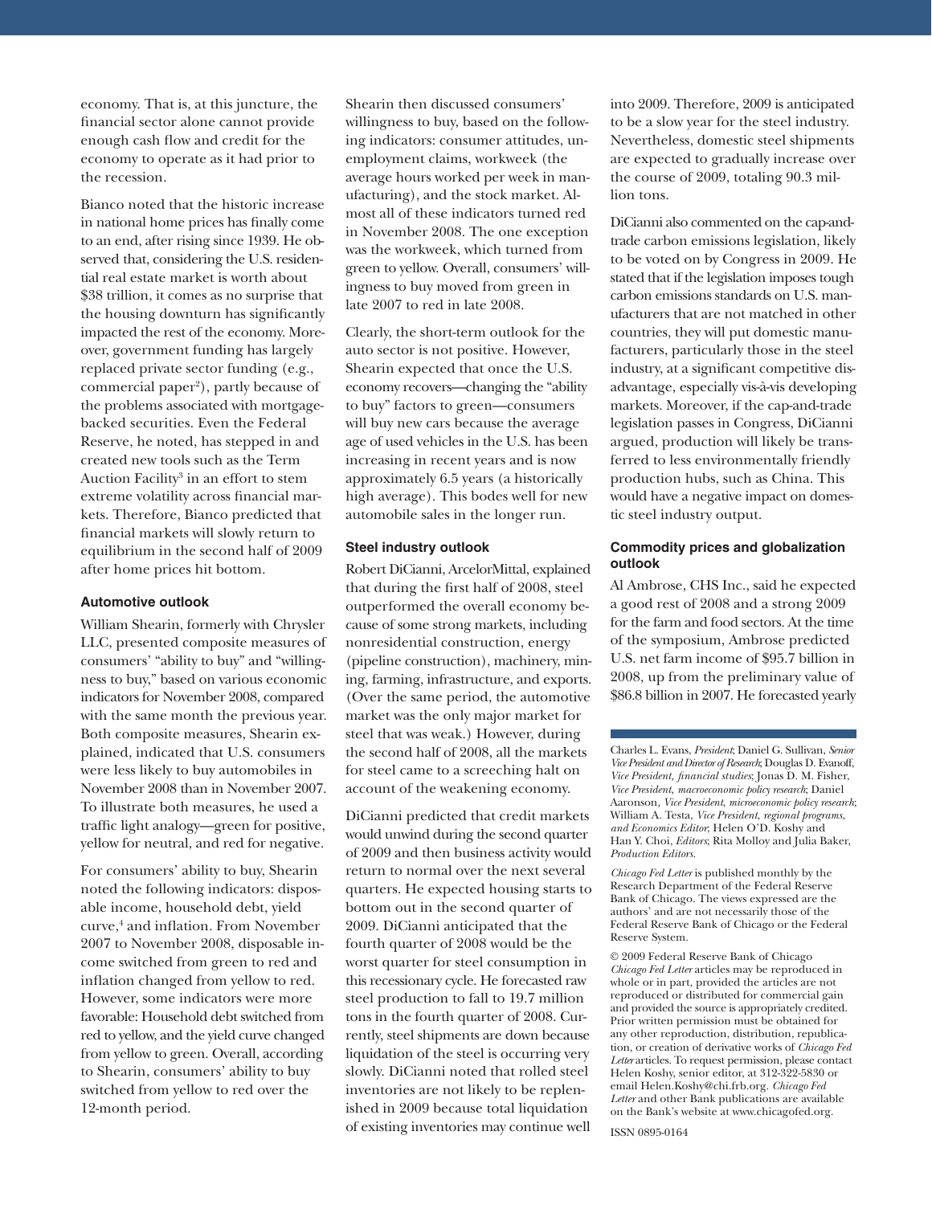economy. That is, at this juncture, the financial sector alone cannot provide enough cash flow and credit for the economy to operate as it had prior to the recession.

Bianco noted that the historic increase in national home prices has finally come to an end, after rising since 1939. He observed that, considering the U.S. residential real estate market is worth about \$38 trillion, it comes as no surprise that the housing downturn has significantly impacted the rest of the economy. Moreover, government funding has largely replaced private sector funding (e.g., commercial paper2 ), partly because of the problems associated with mortgagebacked securities. Even the Federal Reserve, he noted, has stepped in and created new tools such as the Term Auction Facility<sup>3</sup> in an effort to stem extreme volatility across financial markets. Therefore, Bianco predicted that financial markets will slowly return to equilibrium in the second half of 2009 after home prices hit bottom.

#### **Automotive outlook**

William Shearin, formerly with Chrysler LLC, presented composite measures of consumers' "ability to buy" and "willingness to buy," based on various economic indicators for November 2008, compared with the same month the previous year. Both composite measures, Shearin explained, indicated that U.S. consumers were less likely to buy automobiles in November 2008 than in November 2007. To illustrate both measures, he used a traffic light analogy—green for positive, yellow for neutral, and red for negative.

For consumers' ability to buy, Shearin noted the following indicators: disposable income, household debt, yield curve,<sup>4</sup> and inflation. From November 2007 to November 2008, disposable income switched from green to red and inflation changed from yellow to red. However, some indicators were more favorable: Household debt switched from red to yellow, and the yield curve changed from yellow to green. Overall, according to Shearin, consumers' ability to buy switched from yellow to red over the 12-month period.

Shearin then discussed consumers' willingness to buy, based on the following indicators: consumer attitudes, unemployment claims, workweek (the average hours worked per week in manufacturing), and the stock market. Almost all of these indicators turned red in November 2008. The one exception was the workweek, which turned from green to yellow. Overall, consumers' willingness to buy moved from green in late 2007 to red in late 2008.

Clearly, the short-term outlook for the auto sector is not positive. However, Shearin expected that once the U.S. economy recovers—changing the "ability to buy" factors to green—consumers will buy new cars because the average age of used vehicles in the U.S. has been increasing in recent years and is now approximately 6.5 years (a historically high average). This bodes well for new automobile sales in the longer run.

#### **Steel industry outlook**

Robert DiCianni, ArcelorMittal, explained that during the first half of 2008, steel outperformed the overall economy because of some strong markets, including nonresidential construction, energy (pipeline construction), machinery, mining, farming, infrastructure, and exports. (Over the same period, the automotive market was the only major market for steel that was weak.) However, during the second half of 2008, all the markets for steel came to a screeching halt on account of the weakening economy.

DiCianni predicted that credit markets would unwind during the second quarter of 2009 and then business activity would return to normal over the next several quarters. He expected housing starts to bottom out in the second quarter of 2009. DiCianni anticipated that the fourth quarter of 2008 would be the worst quarter for steel consumption in this recessionary cycle. He forecasted raw steel production to fall to 19.7 million tons in the fourth quarter of 2008. Currently, steel shipments are down because liquidation of the steel is occurring very slowly. DiCianni noted that rolled steel inventories are not likely to be replenished in 2009 because total liquidation of existing inventories may continue well

into 2009. Therefore, 2009 is anticipated to be a slow year for the steel industry. Nevertheless, domestic steel shipments are expected to gradually increase over the course of 2009, totaling 90.3 million tons.

DiCianni also commented on the cap-andtrade carbon emissions legislation, likely to be voted on by Congress in 2009. He stated that if the legislation imposes tough carbon emissions standards on U.S. manufacturers that are not matched in other countries, they will put domestic manufacturers, particularly those in the steel industry, at a significant competitive disadvantage, especially vis-à-vis developing markets. Moreover, if the cap-and-trade legislation passes in Congress, DiCianni argued, production will likely be transferred to less environmentally friendly production hubs, such as China. This would have a negative impact on domestic steel industry output.

#### **Commodity prices and globalization outlook**

Al Ambrose, CHS Inc., said he expected a good rest of 2008 and a strong 2009 for the farm and food sectors. At the time of the symposium, Ambrose predicted U.S. net farm income of \$95.7 billion in 2008, up from the preliminary value of \$86.8 billion in 2007. He forecasted yearly

Charles L. Evans, *President*; Daniel G. Sullivan, *Senior Vice President and Director of Research*; Douglas D. Evanoff, *Vice President, fi nancial studies*; Jonas D. M. Fisher, *Vice President*, *macroeconomic policy research*; Daniel Aaronson*, Vice President*, *microeconomic policy research*; William A. Testa, *Vice President*, *regional programs*, *and Economics Editor*; Helen O'D. Koshy and Han Y. Choi, *Editors*; Rita Molloy and Julia Baker, *Production Editors.*

*Chicago Fed Letter* is published monthly by the Research Department of the Federal Reserve Bank of Chicago. The views expressed are the authors' and are not necessarily those of the Federal Reserve Bank of Chicago or the Federal Reserve System.

© 2009 Federal Reserve Bank of Chicago *Chicago Fed Letter* articles may be reproduced in whole or in part, provided the articles are not reproduced or distributed for commercial gain and provided the source is appropriately credited. Prior written permission must be obtained for any other reproduction, distribution, republication, or creation of derivative works of *Chicago Fed Letter* articles. To request permission, please contact Helen Koshy, senior editor, at 312-322-5830 or email Helen.Koshy@chi.frb.org. *Chicago Fed Letter* and other Bank publications are available on the Bank's website at www.chicagofed.org.

ISSN 0895-0164